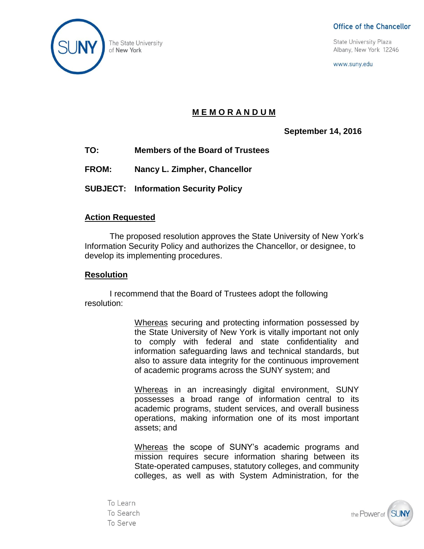

Office of the Chancellor

**State University Plaza** Albany, New York 12246

www.suny.edu

## **M E M O R A N D U M**

**September 14, 2016**

- **TO: Members of the Board of Trustees**
- **FROM: Nancy L. Zimpher, Chancellor**

**SUBJECT: Information Security Policy**

## **Action Requested**

The proposed resolution approves the State University of New York's Information Security Policy and authorizes the Chancellor, or designee, to develop its implementing procedures.

## **Resolution**

I recommend that the Board of Trustees adopt the following resolution:

> Whereas securing and protecting information possessed by the State University of New York is vitally important not only to comply with federal and state confidentiality and information safeguarding laws and technical standards, but also to assure data integrity for the continuous improvement of academic programs across the SUNY system; and

> Whereas in an increasingly digital environment, SUNY possesses a broad range of information central to its academic programs, student services, and overall business operations, making information one of its most important assets; and

> Whereas the scope of SUNY's academic programs and mission requires secure information sharing between its State-operated campuses, statutory colleges, and community colleges, as well as with System Administration, for the

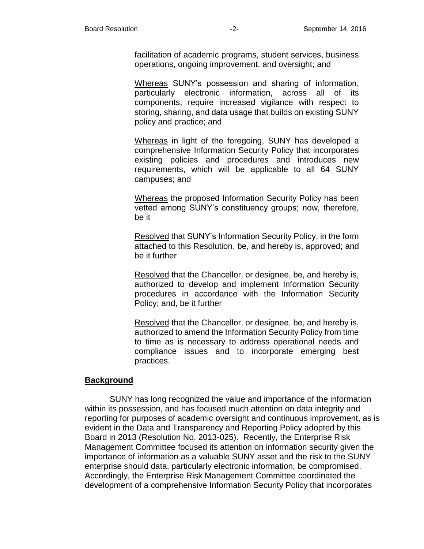facilitation of academic programs, student services, business operations, ongoing improvement, and oversight; and

Whereas SUNY's possession and sharing of information, particularly electronic information, across all of its components, require increased vigilance with respect to storing, sharing, and data usage that builds on existing SUNY policy and practice; and

Whereas in light of the foregoing, SUNY has developed a comprehensive Information Security Policy that incorporates existing policies and procedures and introduces new requirements, which will be applicable to all 64 SUNY campuses; and

Whereas the proposed Information Security Policy has been vetted among SUNY's constituency groups; now, therefore, be it

Resolved that SUNY's Information Security Policy, in the form attached to this Resolution, be, and hereby is, approved; and be it further

Resolved that the Chancellor, or designee, be, and hereby is, authorized to develop and implement Information Security procedures in accordance with the Information Security Policy; and, be it further

Resolved that the Chancellor, or designee, be, and hereby is, authorized to amend the Information Security Policy from time to time as is necessary to address operational needs and compliance issues and to incorporate emerging best practices.

## **Background**

SUNY has long recognized the value and importance of the information within its possession, and has focused much attention on data integrity and reporting for purposes of academic oversight and continuous improvement, as is evident in the Data and Transparency and Reporting Policy adopted by this Board in 2013 (Resolution No. 2013-025). Recently, the Enterprise Risk Management Committee focused its attention on information security given the importance of information as a valuable SUNY asset and the risk to the SUNY enterprise should data, particularly electronic information, be compromised. Accordingly, the Enterprise Risk Management Committee coordinated the development of a comprehensive Information Security Policy that incorporates